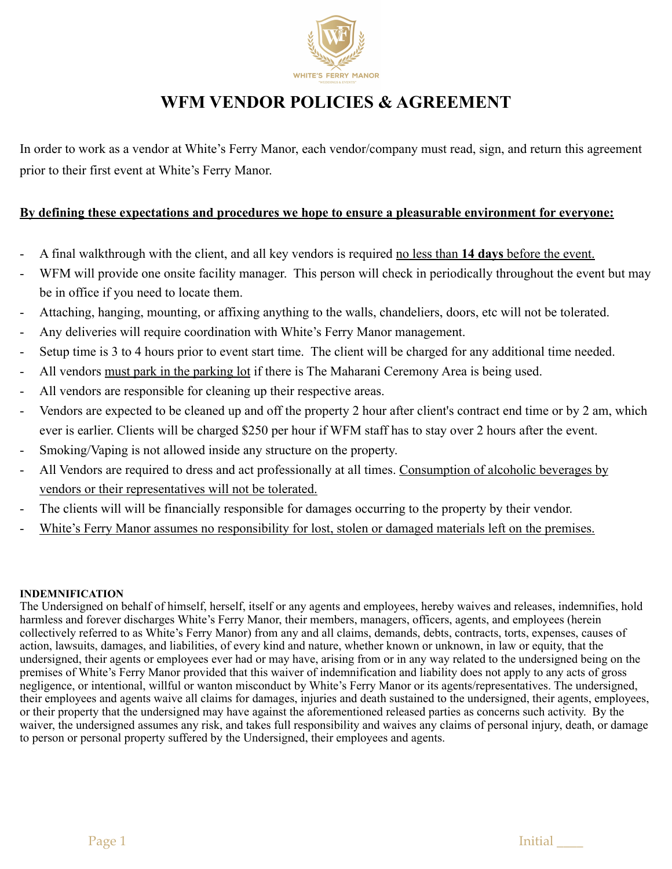

# **WFM VENDOR POLICIES & AGREEMENT**

In order to work as a vendor at White's Ferry Manor, each vendor/company must read, sign, and return this agreement prior to their first event at White's Ferry Manor.

## **By defining these expectations and procedures we hope to ensure a pleasurable environment for everyone:**

- A final walkthrough with the client, and all key vendors is required no less than **14 days** before the event.
- WFM will provide one onsite facility manager. This person will check in periodically throughout the event but may be in office if you need to locate them.
- Attaching, hanging, mounting, or affixing anything to the walls, chandeliers, doors, etc will not be tolerated.
- Any deliveries will require coordination with White's Ferry Manor management.
- Setup time is 3 to 4 hours prior to event start time. The client will be charged for any additional time needed.
- All vendors must park in the parking lot if there is The Maharani Ceremony Area is being used.
- All vendors are responsible for cleaning up their respective areas.
- Vendors are expected to be cleaned up and off the property 2 hour after client's contract end time or by 2 am, which ever is earlier. Clients will be charged \$250 per hour if WFM staff has to stay over 2 hours after the event.
- Smoking/Vaping is not allowed inside any structure on the property.
- All Vendors are required to dress and act professionally at all times. Consumption of alcoholic beverages by vendors or their representatives will not be tolerated.
- The clients will will be financially responsible for damages occurring to the property by their vendor.
- White's Ferry Manor assumes no responsibility for lost, stolen or damaged materials left on the premises.

### **INDEMNIFICATION**

The Undersigned on behalf of himself, herself, itself or any agents and employees, hereby waives and releases, indemnifies, hold harmless and forever discharges White's Ferry Manor, their members, managers, officers, agents, and employees (herein collectively referred to as White's Ferry Manor) from any and all claims, demands, debts, contracts, torts, expenses, causes of action, lawsuits, damages, and liabilities, of every kind and nature, whether known or unknown, in law or equity, that the undersigned, their agents or employees ever had or may have, arising from or in any way related to the undersigned being on the premises of White's Ferry Manor provided that this waiver of indemnification and liability does not apply to any acts of gross negligence, or intentional, willful or wanton misconduct by White's Ferry Manor or its agents/representatives. The undersigned, their employees and agents waive all claims for damages, injuries and death sustained to the undersigned, their agents, employees, or their property that the undersigned may have against the aforementioned released parties as concerns such activity. By the waiver, the undersigned assumes any risk, and takes full responsibility and waives any claims of personal injury, death, or damage to person or personal property suffered by the Undersigned, their employees and agents.